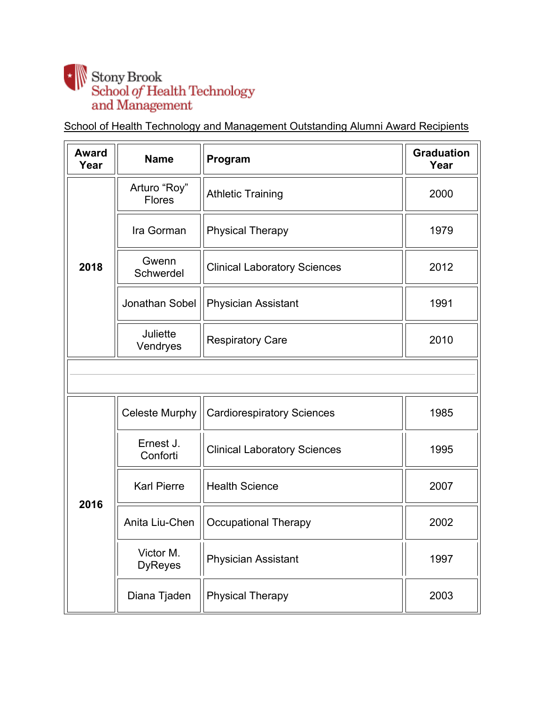## $\begin{tabular}{c} \bf . & Stony Brook \\ \bf School \it of Health Technology \\ \bf and Management \end{tabular}$

School of Health Technology and Management Outstanding Alumni Award Recipients

| <b>Award</b><br>Year | <b>Name</b>                   | Program                             | <b>Graduation</b><br>Year |
|----------------------|-------------------------------|-------------------------------------|---------------------------|
|                      | Arturo "Roy"<br><b>Flores</b> | <b>Athletic Training</b>            | 2000                      |
|                      | Ira Gorman                    | <b>Physical Therapy</b>             | 1979                      |
| 2018                 | Gwenn<br>Schwerdel            | <b>Clinical Laboratory Sciences</b> | 2012                      |
|                      | Jonathan Sobel                | <b>Physician Assistant</b>          | 1991                      |
|                      | Juliette<br>Vendryes          | <b>Respiratory Care</b>             | 2010                      |
|                      |                               |                                     |                           |
|                      | <b>Celeste Murphy</b>         | <b>Cardiorespiratory Sciences</b>   | 1985                      |
|                      | Ernest J.<br>Conforti         | <b>Clinical Laboratory Sciences</b> | 1995                      |
| 2016                 | <b>Karl Pierre</b>            | <b>Health Science</b>               | 2007                      |
|                      | Anita Liu-Chen                | <b>Occupational Therapy</b>         | 2002                      |
|                      | Victor M.<br><b>DyReyes</b>   | Physician Assistant                 | 1997                      |
|                      | Diana Tjaden                  | <b>Physical Therapy</b>             | 2003                      |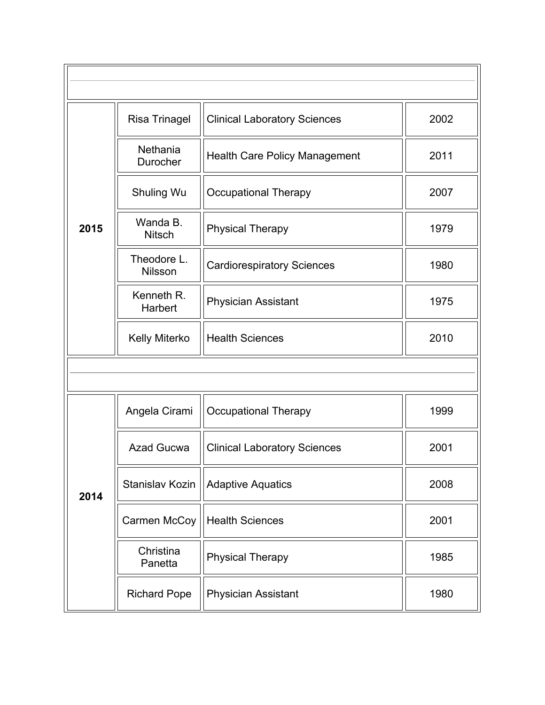|      | <b>Risa Trinagel</b>          | <b>Clinical Laboratory Sciences</b>  | 2002 |  |
|------|-------------------------------|--------------------------------------|------|--|
|      | Nethania<br>Durocher          | <b>Health Care Policy Management</b> | 2011 |  |
|      | Shuling Wu                    | <b>Occupational Therapy</b>          | 2007 |  |
| 2015 | Wanda B.<br><b>Nitsch</b>     | <b>Physical Therapy</b>              | 1979 |  |
|      | Theodore L.<br><b>Nilsson</b> | <b>Cardiorespiratory Sciences</b>    | 1980 |  |
|      | Kenneth R.<br>Harbert         | <b>Physician Assistant</b>           | 1975 |  |
|      | Kelly Miterko                 | <b>Health Sciences</b>               | 2010 |  |
|      |                               |                                      |      |  |
|      | Angela Cirami                 | <b>Occupational Therapy</b>          | 1999 |  |
|      | <b>Azad Gucwa</b>             | <b>Clinical Laboratory Sciences</b>  | 2001 |  |
| 2014 | Stanislav Kozin               | <b>Adaptive Aquatics</b>             | 2008 |  |
|      | Carmen McCoy                  | <b>Health Sciences</b>               | 2001 |  |
|      | Christina<br>Panetta          | <b>Physical Therapy</b>              | 1985 |  |
|      | <b>Richard Pope</b>           | <b>Physician Assistant</b>           | 1980 |  |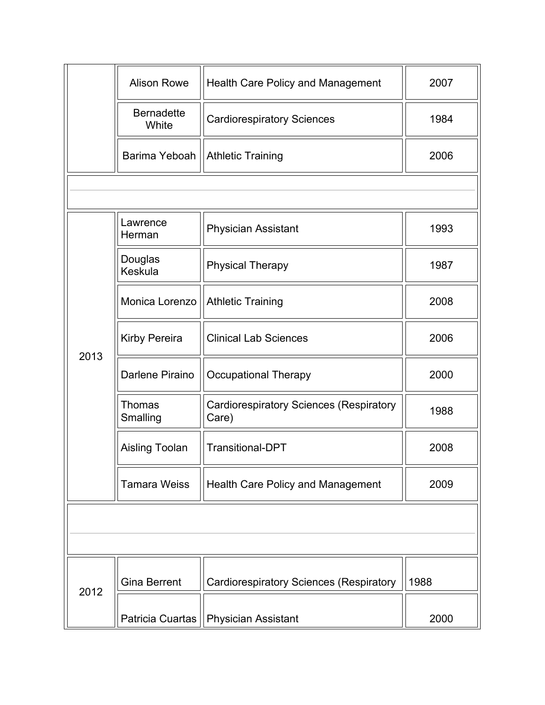|      | <b>Alison Rowe</b>         | <b>Health Care Policy and Management</b>                | 2007 |
|------|----------------------------|---------------------------------------------------------|------|
|      | <b>Bernadette</b><br>White | <b>Cardiorespiratory Sciences</b>                       | 1984 |
|      | Barima Yeboah              | <b>Athletic Training</b>                                | 2006 |
|      |                            |                                                         |      |
|      | Lawrence<br>Herman         | <b>Physician Assistant</b>                              | 1993 |
|      | Douglas<br>Keskula         | <b>Physical Therapy</b>                                 | 1987 |
|      | Monica Lorenzo             | <b>Athletic Training</b>                                | 2008 |
| 2013 | Kirby Pereira              | <b>Clinical Lab Sciences</b>                            | 2006 |
|      | Darlene Piraino            | <b>Occupational Therapy</b>                             | 2000 |
|      | Thomas<br>Smalling         | <b>Cardiorespiratory Sciences (Respiratory</b><br>Care) | 1988 |
|      | Aisling Toolan             | <b>Transitional-DPT</b>                                 | 2008 |
|      | <b>Tamara Weiss</b>        | <b>Health Care Policy and Management</b>                | 2009 |
|      |                            |                                                         |      |
|      |                            |                                                         |      |
| 2012 | <b>Gina Berrent</b>        | <b>Cardiorespiratory Sciences (Respiratory</b>          | 1988 |
|      | Patricia Cuartas           | <b>Physician Assistant</b>                              | 2000 |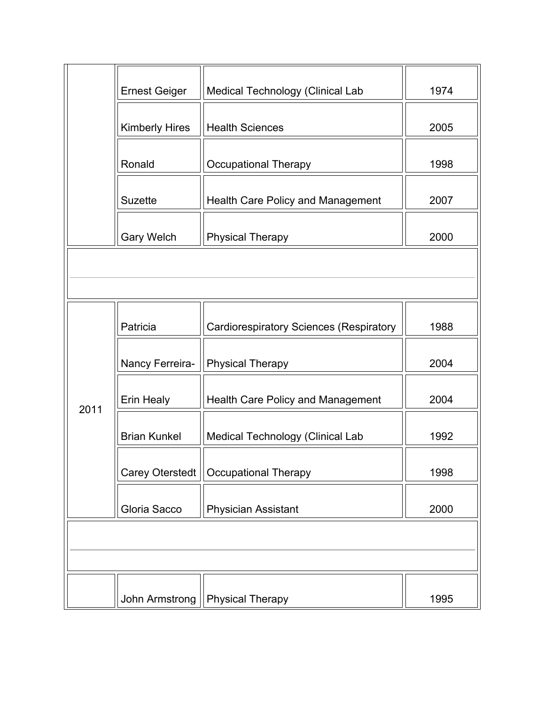|      | <b>Ernest Geiger</b>  | Medical Technology (Clinical Lab               | 1974 |
|------|-----------------------|------------------------------------------------|------|
|      | <b>Kimberly Hires</b> | <b>Health Sciences</b>                         | 2005 |
|      | Ronald                | <b>Occupational Therapy</b>                    | 1998 |
|      | <b>Suzette</b>        | <b>Health Care Policy and Management</b>       | 2007 |
|      | <b>Gary Welch</b>     | <b>Physical Therapy</b>                        | 2000 |
|      |                       |                                                |      |
|      |                       |                                                |      |
|      | Patricia              | <b>Cardiorespiratory Sciences (Respiratory</b> | 1988 |
|      | Nancy Ferreira-       | <b>Physical Therapy</b>                        | 2004 |
| 2011 | Erin Healy            | <b>Health Care Policy and Management</b>       | 2004 |
|      | <b>Brian Kunkel</b>   | Medical Technology (Clinical Lab               | 1992 |
|      | Carey Oterstedt       | <b>Occupational Therapy</b>                    | 1998 |
|      | Gloria Sacco          | <b>Physician Assistant</b>                     | 2000 |
|      |                       |                                                |      |
|      |                       |                                                |      |
|      | John Armstrong        | <b>Physical Therapy</b>                        | 1995 |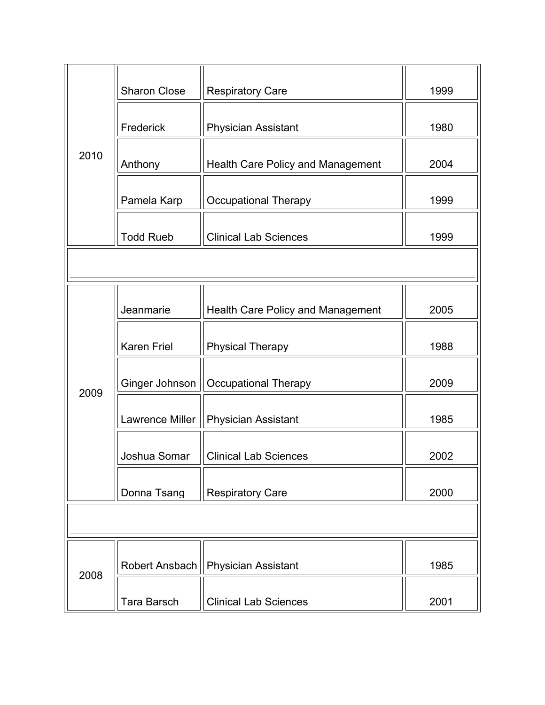|      | <b>Sharon Close</b>    | <b>Respiratory Care</b>                  | 1999 |  |  |
|------|------------------------|------------------------------------------|------|--|--|
|      | Frederick              | <b>Physician Assistant</b>               | 1980 |  |  |
| 2010 | Anthony                | <b>Health Care Policy and Management</b> | 2004 |  |  |
|      | Pamela Karp            | <b>Occupational Therapy</b>              | 1999 |  |  |
|      | <b>Todd Rueb</b>       | <b>Clinical Lab Sciences</b>             | 1999 |  |  |
|      |                        |                                          |      |  |  |
|      | Jeanmarie              | <b>Health Care Policy and Management</b> | 2005 |  |  |
|      | <b>Karen Friel</b>     | <b>Physical Therapy</b>                  | 1988 |  |  |
| 2009 | Ginger Johnson         | <b>Occupational Therapy</b>              | 2009 |  |  |
|      | <b>Lawrence Miller</b> | <b>Physician Assistant</b>               | 1985 |  |  |
|      | Joshua Somar           | <b>Clinical Lab Sciences</b>             | 2002 |  |  |
|      | Donna Tsang            | <b>Respiratory Care</b>                  | 2000 |  |  |
|      |                        |                                          |      |  |  |
|      | Robert Ansbach         | <b>Physician Assistant</b>               | 1985 |  |  |
| 2008 | <b>Tara Barsch</b>     | <b>Clinical Lab Sciences</b>             | 2001 |  |  |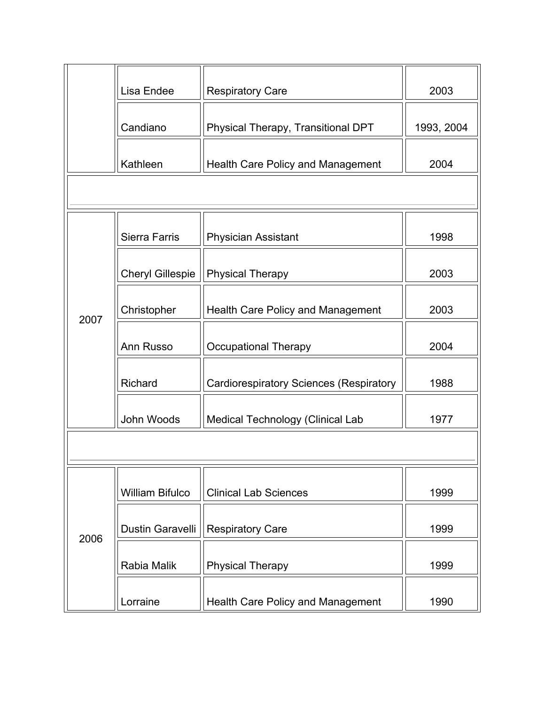|      | Lisa Endee              | <b>Respiratory Care</b>                        | 2003       |
|------|-------------------------|------------------------------------------------|------------|
|      | Candiano                | Physical Therapy, Transitional DPT             | 1993, 2004 |
|      | Kathleen                | <b>Health Care Policy and Management</b>       | 2004       |
|      |                         |                                                |            |
|      | <b>Sierra Farris</b>    | <b>Physician Assistant</b>                     | 1998       |
|      | <b>Cheryl Gillespie</b> | <b>Physical Therapy</b>                        | 2003       |
| 2007 | Christopher             | <b>Health Care Policy and Management</b>       | 2003       |
|      | Ann Russo               | <b>Occupational Therapy</b>                    | 2004       |
|      | Richard                 | <b>Cardiorespiratory Sciences (Respiratory</b> | 1988       |
|      | John Woods              | Medical Technology (Clinical Lab               | 1977       |
|      |                         |                                                |            |
|      | <b>William Bifulco</b>  | <b>Clinical Lab Sciences</b>                   | 1999       |
| 2006 | <b>Dustin Garavelli</b> | <b>Respiratory Care</b>                        | 1999       |
|      | Rabia Malik             | <b>Physical Therapy</b>                        | 1999       |
|      | Lorraine                | Health Care Policy and Management              | 1990       |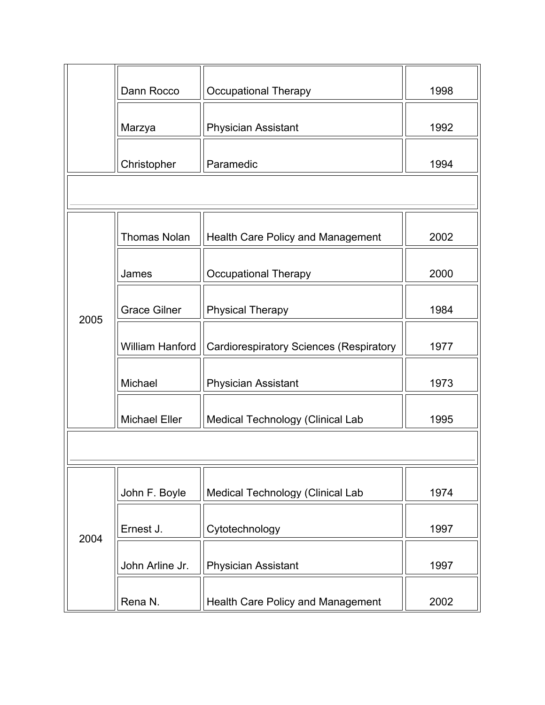|      | Dann Rocco             | <b>Occupational Therapy</b>                    | 1998 |
|------|------------------------|------------------------------------------------|------|
|      | Marzya                 | <b>Physician Assistant</b>                     | 1992 |
|      | Christopher            | Paramedic                                      | 1994 |
|      |                        |                                                |      |
|      | <b>Thomas Nolan</b>    | <b>Health Care Policy and Management</b>       | 2002 |
|      | James                  | <b>Occupational Therapy</b>                    | 2000 |
| 2005 | <b>Grace Gilner</b>    | <b>Physical Therapy</b>                        | 1984 |
|      | <b>William Hanford</b> | <b>Cardiorespiratory Sciences (Respiratory</b> | 1977 |
|      | Michael                | <b>Physician Assistant</b>                     | 1973 |
|      | <b>Michael Eller</b>   | Medical Technology (Clinical Lab               | 1995 |
|      |                        |                                                |      |
|      | John F. Boyle          | Medical Technology (Clinical Lab               | 1974 |
| 2004 | Ernest J.              | Cytotechnology                                 | 1997 |
|      | John Arline Jr.        | <b>Physician Assistant</b>                     | 1997 |
|      | Rena N.                | Health Care Policy and Management              | 2002 |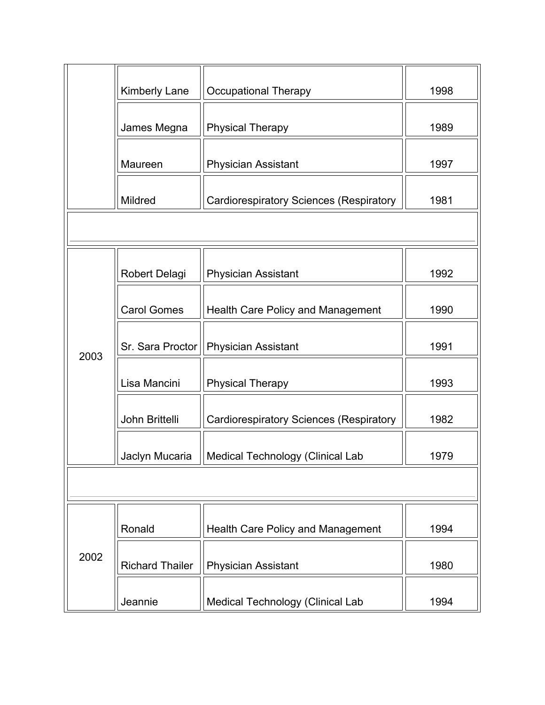|      | Kimberly Lane          | <b>Occupational Therapy</b>                    | 1998 |
|------|------------------------|------------------------------------------------|------|
|      | James Megna            | <b>Physical Therapy</b>                        | 1989 |
|      | Maureen                | <b>Physician Assistant</b>                     | 1997 |
|      | Mildred                | <b>Cardiorespiratory Sciences (Respiratory</b> | 1981 |
|      |                        |                                                |      |
|      | Robert Delagi          | <b>Physician Assistant</b>                     | 1992 |
|      | <b>Carol Gomes</b>     | <b>Health Care Policy and Management</b>       | 1990 |
| 2003 | Sr. Sara Proctor       | <b>Physician Assistant</b>                     | 1991 |
|      | Lisa Mancini           | <b>Physical Therapy</b>                        | 1993 |
|      | John Brittelli         | <b>Cardiorespiratory Sciences (Respiratory</b> | 1982 |
|      | Jaclyn Mucaria         | Medical Technology (Clinical Lab               | 1979 |
|      |                        |                                                |      |
| 2002 | Ronald                 | <b>Health Care Policy and Management</b>       | 1994 |
|      | <b>Richard Thailer</b> | <b>Physician Assistant</b>                     | 1980 |
|      | Jeannie                | Medical Technology (Clinical Lab               | 1994 |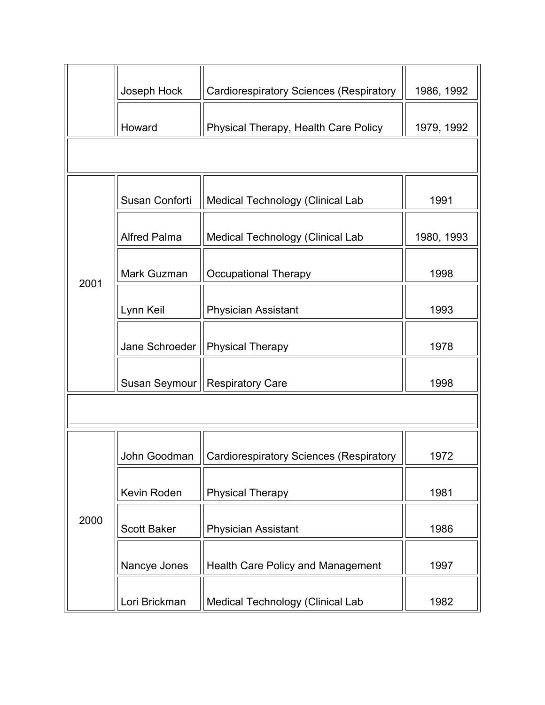|      | Joseph Hock         | <b>Cardiorespiratory Sciences (Respiratory</b> | 1986, 1992 |
|------|---------------------|------------------------------------------------|------------|
|      | Howard              | Physical Therapy, Health Care Policy           | 1979, 1992 |
|      |                     |                                                |            |
|      | Susan Conforti      | <b>Medical Technology (Clinical Lab</b>        | 1991       |
|      | <b>Alfred Palma</b> | <b>Medical Technology (Clinical Lab</b>        | 1980, 1993 |
| 2001 | Mark Guzman         | <b>Occupational Therapy</b>                    | 1998       |
|      | Lynn Keil           | <b>Physician Assistant</b>                     | 1993       |
|      | Jane Schroeder      | <b>Physical Therapy</b>                        | 1978       |
|      | Susan Seymour       | <b>Respiratory Care</b>                        | 1998       |
|      |                     |                                                |            |
|      | John Goodman        | <b>Cardiorespiratory Sciences (Respiratory</b> | 1972       |
| 2000 | Kevin Roden         | <b>Physical Therapy</b>                        | 1981       |
|      | <b>Scott Baker</b>  | <b>Physician Assistant</b>                     | 1986       |
|      | Nancye Jones        | <b>Health Care Policy and Management</b>       | 1997       |
|      | Lori Brickman       | Medical Technology (Clinical Lab               | 1982       |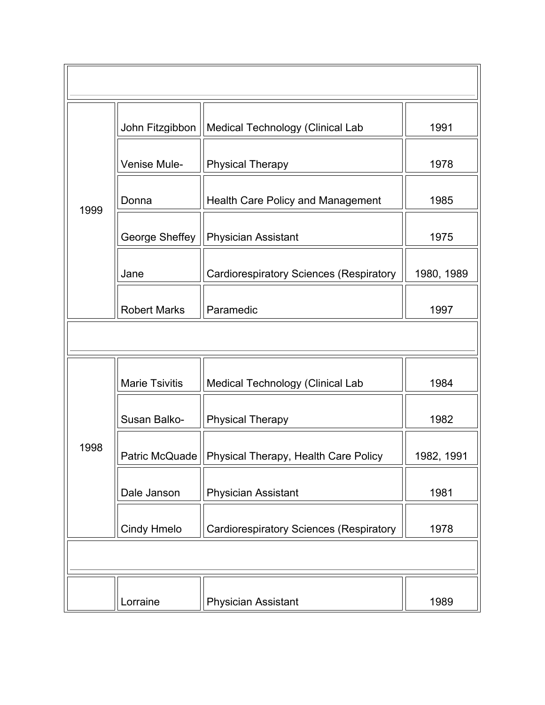|      | John Fitzgibbon       | Medical Technology (Clinical Lab               | 1991       |
|------|-----------------------|------------------------------------------------|------------|
|      | Venise Mule-          | <b>Physical Therapy</b>                        | 1978       |
| 1999 | Donna                 | <b>Health Care Policy and Management</b>       | 1985       |
|      | George Sheffey        | <b>Physician Assistant</b>                     | 1975       |
|      | Jane                  | <b>Cardiorespiratory Sciences (Respiratory</b> | 1980, 1989 |
|      | <b>Robert Marks</b>   | Paramedic                                      | 1997       |
|      |                       |                                                |            |
|      | <b>Marie Tsivitis</b> | Medical Technology (Clinical Lab               | 1984       |
|      | Susan Balko-          | <b>Physical Therapy</b>                        | 1982       |
| 1998 | Patric McQuade        | Physical Therapy, Health Care Policy           | 1982, 1991 |
|      | Dale Janson           | Physician Assistant                            | 1981       |
|      | Cindy Hmelo           | <b>Cardiorespiratory Sciences (Respiratory</b> | 1978       |
|      |                       |                                                |            |
|      | Lorraine              | <b>Physician Assistant</b>                     | 1989       |